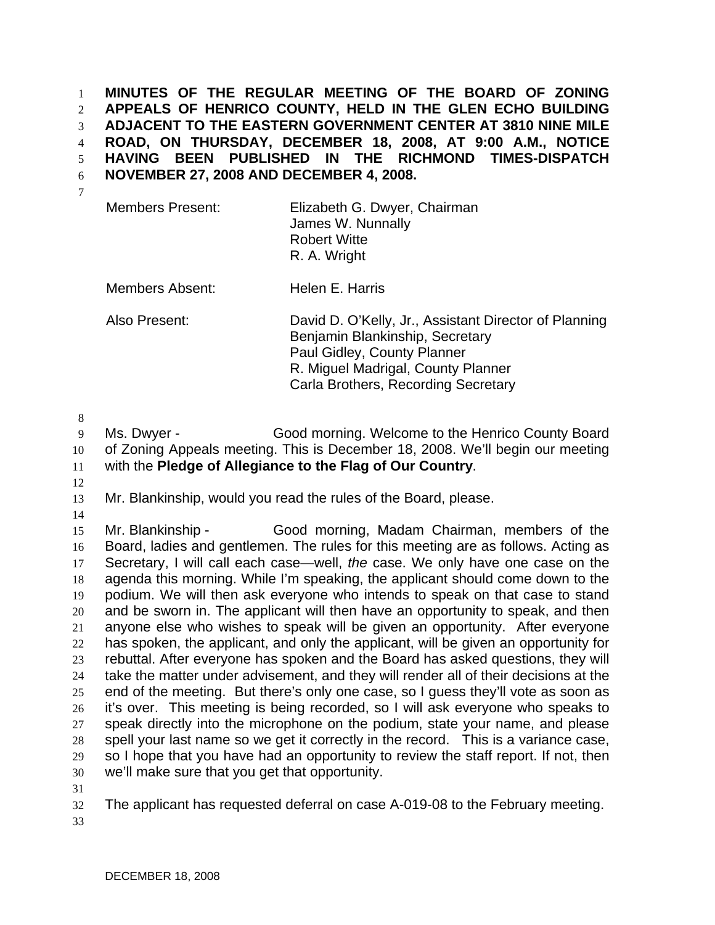**MINUTES OF THE REGULAR MEETING OF THE BOARD OF ZONING APPEALS OF HENRICO COUNTY, HELD IN THE GLEN ECHO BUILDING ADJACENT TO THE EASTERN GOVERNMENT CENTER AT 3810 NINE MILE ROAD, ON THURSDAY, DECEMBER 18, 2008, AT 9:00 A.M., NOTICE HAVING BEEN PUBLISHED IN THE RICHMOND TIMES-DISPATCH NOVEMBER 27, 2008 AND DECEMBER 4, 2008.**  1 2 3 4 5 6 7

Members Present: Elizabeth G. Dwyer, Chairman James W. Nunnally Robert Witte R. A. Wright

Members Absent: Helen E. Harris

Also Present: David D. O'Kelly, Jr., Assistant Director of Planning Benjamin Blankinship, Secretary Paul Gidley, County Planner R. Miguel Madrigal, County Planner Carla Brothers, Recording Secretary

8

9 10 11 Ms. Dwyer - Good morning. Welcome to the Henrico County Board of Zoning Appeals meeting. This is December 18, 2008. We'll begin our meeting with the **Pledge of Allegiance to the Flag of Our Country**.

12

13 Mr. Blankinship, would you read the rules of the Board, please.

14

15 16 17 18 19 20 21 22 23 24 25 26 27 28 29 30 Mr. Blankinship - Good morning, Madam Chairman, members of the Board, ladies and gentlemen. The rules for this meeting are as follows. Acting as Secretary, I will call each case—well, *the* case. We only have one case on the agenda this morning. While I'm speaking, the applicant should come down to the podium. We will then ask everyone who intends to speak on that case to stand and be sworn in. The applicant will then have an opportunity to speak, and then anyone else who wishes to speak will be given an opportunity. After everyone has spoken, the applicant, and only the applicant, will be given an opportunity for rebuttal. After everyone has spoken and the Board has asked questions, they will take the matter under advisement, and they will render all of their decisions at the end of the meeting. But there's only one case, so I guess they'll vote as soon as it's over. This meeting is being recorded, so I will ask everyone who speaks to speak directly into the microphone on the podium, state your name, and please spell your last name so we get it correctly in the record. This is a variance case, so I hope that you have had an opportunity to review the staff report. If not, then we'll make sure that you get that opportunity.

31

32 The applicant has requested deferral on case A-019-08 to the February meeting.

33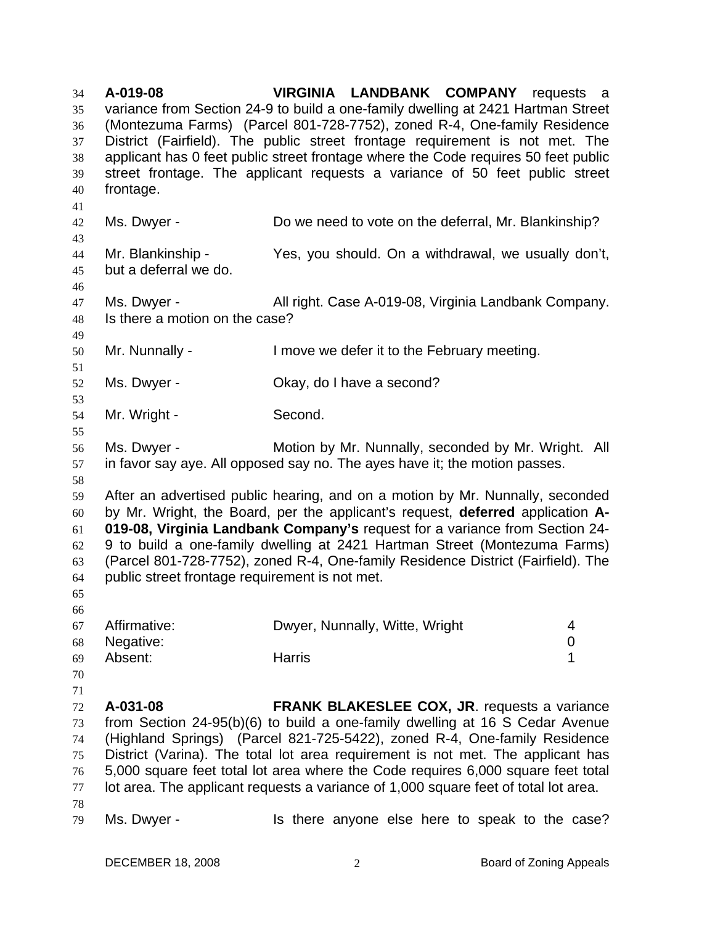**A-019-08 VIRGINIA LANDBANK COMPANY** requests a variance from Section 24-9 to build a one-family dwelling at 2421 Hartman Street (Montezuma Farms) (Parcel 801-728-7752), zoned R-4, One-family Residence District (Fairfield). The public street frontage requirement is not met. The applicant has 0 feet public street frontage where the Code requires 50 feet public street frontage. The applicant requests a variance of 50 feet public street frontage. 34 35 36 37 38 39 40 41 42 43 44 45 46 47 48 49 50 51 52 53 54 55 56 57 58 59 60 61 62 63 64 65 66 67 68 69 70 71 72 73 74 75 76 77 78 79 Ms. Dwyer - Do we need to vote on the deferral, Mr. Blankinship? Mr. Blankinship - Yes, you should. On a withdrawal, we usually don't, but a deferral we do. Ms. Dwyer - **All right. Case A-019-08, Virginia Landbank Company.** Is there a motion on the case? Mr. Nunnally - I move we defer it to the February meeting. Ms. Dwyer - Chay, do I have a second? Mr. Wright - Second. Ms. Dwyer - **Motion by Mr. Nunnally, seconded by Mr. Wright.** All in favor say aye. All opposed say no. The ayes have it; the motion passes. After an advertised public hearing, and on a motion by Mr. Nunnally, seconded by Mr. Wright, the Board, per the applicant's request, **deferred** application **A-019-08, Virginia Landbank Company's** request for a variance from Section 24- 9 to build a one-family dwelling at 2421 Hartman Street (Montezuma Farms) (Parcel 801-728-7752), zoned R-4, One-family Residence District (Fairfield). The public street frontage requirement is not met. Affirmative: Dwyer, Nunnally, Witte, Wright 4 Negative: 0 Absent: 1 **A-031-08 FRANK BLAKESLEE COX, JR**. requests a variance from Section 24-95(b)(6) to build a one-family dwelling at 16 S Cedar Avenue (Highland Springs) (Parcel 821-725-5422), zoned R-4, One-family Residence District (Varina). The total lot area requirement is not met. The applicant has 5,000 square feet total lot area where the Code requires 6,000 square feet total lot area. The applicant requests a variance of 1,000 square feet of total lot area. Ms. Dwyer - The state of the end anyone else here to speak to the case?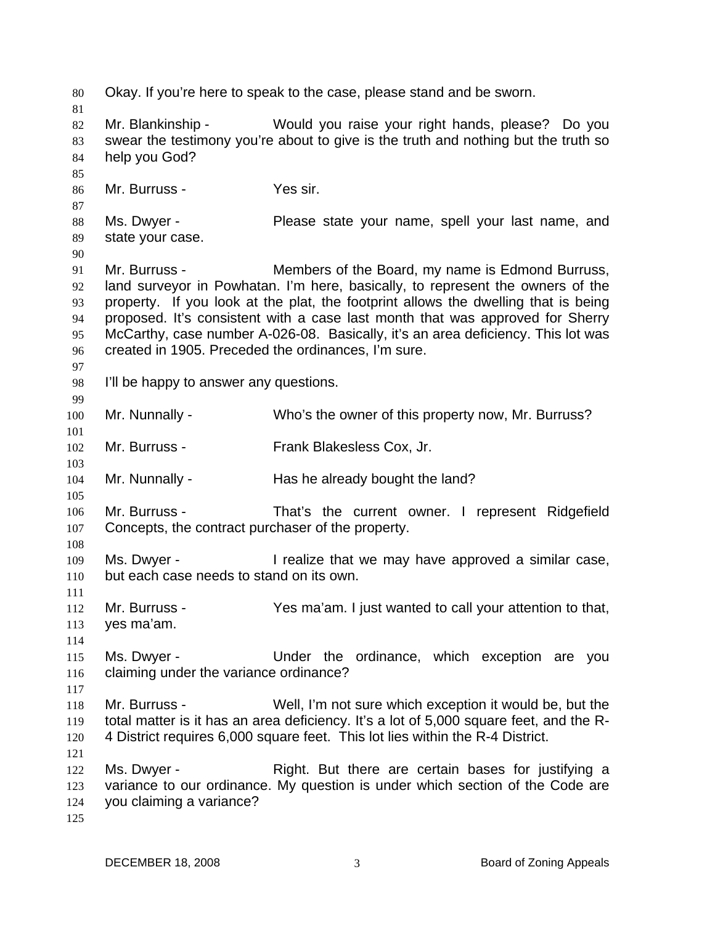80 Okay. If you're here to speak to the case, please stand and be sworn. 81 82 83 84 85 86 87 88 89 90 91 92 93 94 95 96 97 98 99 100 101 102 103 104 105 106 107 108 109 110 111 112 113 114 115 116 117 118 119 120 121 122 123 124 125 Mr. Blankinship - Would you raise your right hands, please? Do you swear the testimony you're about to give is the truth and nothing but the truth so help you God? Mr. Burruss - Yes sir. Ms. Dwyer - Please state your name, spell your last name, and state your case. Mr. Burruss - **Members of the Board, my name is Edmond Burruss,** land surveyor in Powhatan. I'm here, basically, to represent the owners of the property. If you look at the plat, the footprint allows the dwelling that is being proposed. It's consistent with a case last month that was approved for Sherry McCarthy, case number A-026-08. Basically, it's an area deficiency. This lot was created in 1905. Preceded the ordinances, I'm sure. I'll be happy to answer any questions. Mr. Nunnally - Who's the owner of this property now, Mr. Burruss? Mr. Burruss - Frank Blakesless Cox, Jr. Mr. Nunnally - Has he already bought the land? Mr. Burruss - That's the current owner. I represent Ridgefield Concepts, the contract purchaser of the property. Ms. Dwyer - The alize that we may have approved a similar case, but each case needs to stand on its own. Mr. Burruss - Yes ma'am. I just wanted to call your attention to that, yes ma'am. Ms. Dwyer - The Under the ordinance, which exception are you claiming under the variance ordinance? Mr. Burruss - Well, I'm not sure which exception it would be, but the total matter is it has an area deficiency. It's a lot of 5,000 square feet, and the R-4 District requires 6,000 square feet. This lot lies within the R-4 District. Ms. Dwyer - The Right. But there are certain bases for justifying a variance to our ordinance. My question is under which section of the Code are you claiming a variance?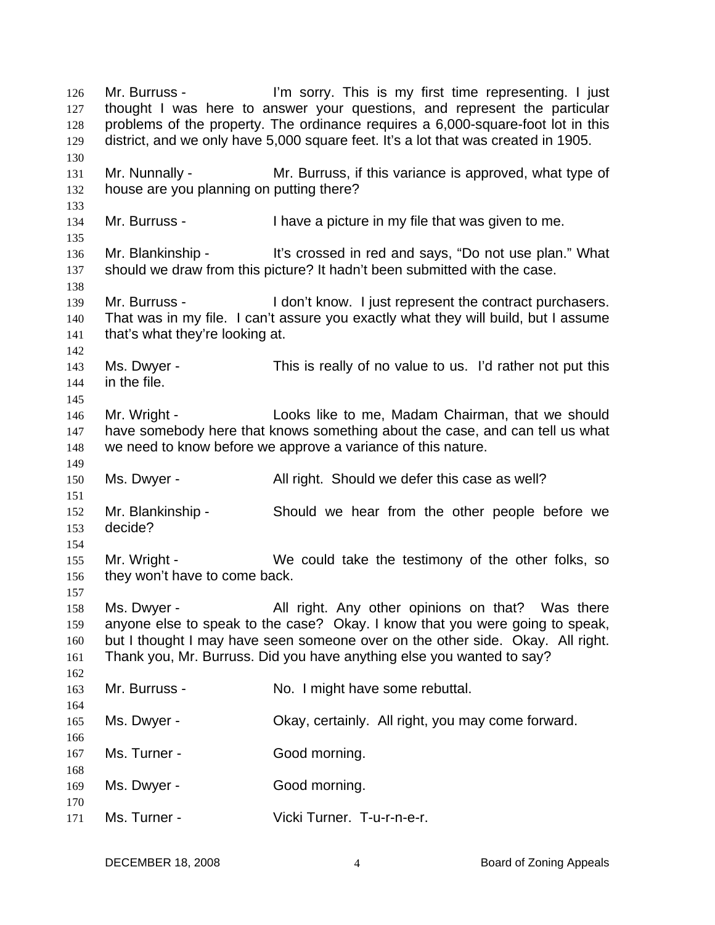Mr. Burruss - This is my first time representing. I just thought I was here to answer your questions, and represent the particular problems of the property. The ordinance requires a 6,000-square-foot lot in this district, and we only have 5,000 square feet. It's a lot that was created in 1905. 126 127 128 129 130 131 132 133 134 135 136 137 138 139 140 141 142 143 144 145 146 147 148 149 150 151 152 153 154 155 156 157 158 159 160 161 162 163 164 165 166 167 168 169 170 171 Mr. Nunnally - The Mr. Burruss, if this variance is approved, what type of house are you planning on putting there? Mr. Burruss - I have a picture in my file that was given to me. Mr. Blankinship - It's crossed in red and says, "Do not use plan." What should we draw from this picture? It hadn't been submitted with the case. Mr. Burruss - I don't know. I just represent the contract purchasers. That was in my file. I can't assure you exactly what they will build, but I assume that's what they're looking at. Ms. Dwyer - This is really of no value to us. I'd rather not put this in the file. Mr. Wright - Looks like to me, Madam Chairman, that we should have somebody here that knows something about the case, and can tell us what we need to know before we approve a variance of this nature. Ms. Dwyer - The All right. Should we defer this case as well? Mr. Blankinship - Should we hear from the other people before we decide? Mr. Wright - We could take the testimony of the other folks, so they won't have to come back. Ms. Dwyer - The All right. Any other opinions on that? Was there anyone else to speak to the case? Okay. I know that you were going to speak, but I thought I may have seen someone over on the other side. Okay. All right. Thank you, Mr. Burruss. Did you have anything else you wanted to say? Mr. Burruss - No. I might have some rebuttal. Ms. Dwyer - Okay, certainly. All right, you may come forward. Ms. Turner - Good morning. Ms. Dwyer - Good morning. Ms. Turner - Vicki Turner. T-u-r-n-e-r.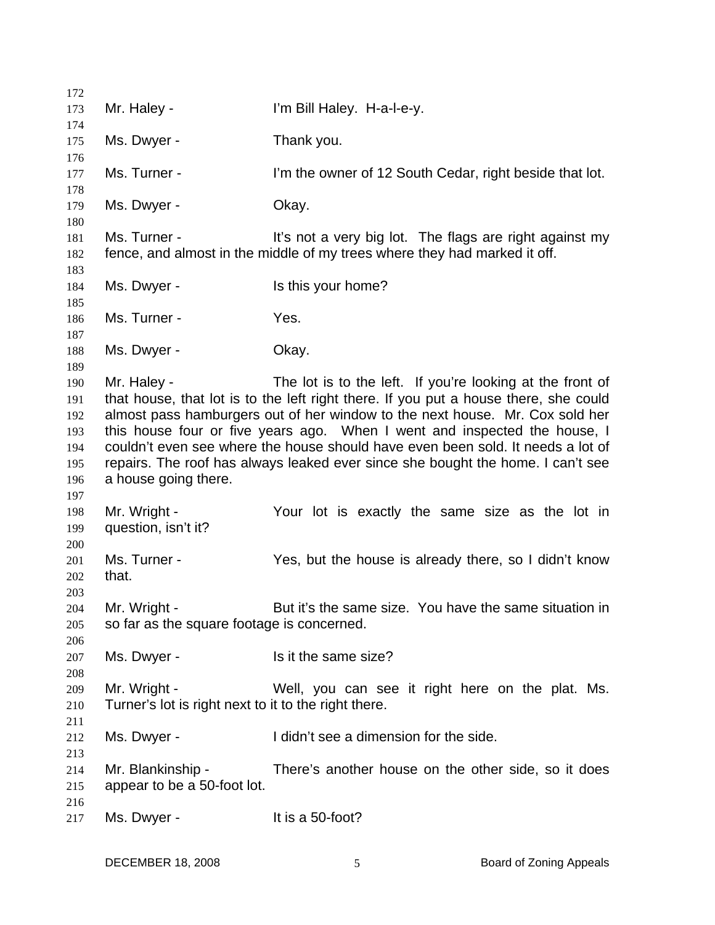| 172        |                                                                                                                                                                      |                                                                                 |  |  |
|------------|----------------------------------------------------------------------------------------------------------------------------------------------------------------------|---------------------------------------------------------------------------------|--|--|
| 173        | Mr. Haley -                                                                                                                                                          | I'm Bill Haley. H-a-I-e-y.                                                      |  |  |
| 174        |                                                                                                                                                                      |                                                                                 |  |  |
| 175        | Ms. Dwyer -                                                                                                                                                          | Thank you.                                                                      |  |  |
| 176        |                                                                                                                                                                      |                                                                                 |  |  |
| 177        | Ms. Turner -                                                                                                                                                         | I'm the owner of 12 South Cedar, right beside that lot.                         |  |  |
| 178        |                                                                                                                                                                      |                                                                                 |  |  |
| 179        | Ms. Dwyer -                                                                                                                                                          | Okay.                                                                           |  |  |
| 180        |                                                                                                                                                                      |                                                                                 |  |  |
| 181        | Ms. Turner -                                                                                                                                                         | It's not a very big lot. The flags are right against my                         |  |  |
| 182        |                                                                                                                                                                      | fence, and almost in the middle of my trees where they had marked it off.       |  |  |
| 183        |                                                                                                                                                                      |                                                                                 |  |  |
| 184        | Ms. Dwyer -                                                                                                                                                          | Is this your home?                                                              |  |  |
| 185        |                                                                                                                                                                      |                                                                                 |  |  |
| 186        | Ms. Turner -                                                                                                                                                         | Yes.                                                                            |  |  |
| 187        |                                                                                                                                                                      |                                                                                 |  |  |
| 188        | Ms. Dwyer -                                                                                                                                                          | Okay.                                                                           |  |  |
| 189        |                                                                                                                                                                      | The lot is to the left. If you're looking at the front of                       |  |  |
| 190        | Mr. Haley -                                                                                                                                                          |                                                                                 |  |  |
| 191<br>192 | that house, that lot is to the left right there. If you put a house there, she could<br>almost pass hamburgers out of her window to the next house. Mr. Cox sold her |                                                                                 |  |  |
| 193        |                                                                                                                                                                      | this house four or five years ago. When I went and inspected the house, I       |  |  |
| 194        |                                                                                                                                                                      | couldn't even see where the house should have even been sold. It needs a lot of |  |  |
| 195        |                                                                                                                                                                      | repairs. The roof has always leaked ever since she bought the home. I can't see |  |  |
| 196        | a house going there.                                                                                                                                                 |                                                                                 |  |  |
| 197        |                                                                                                                                                                      |                                                                                 |  |  |
| 198        | Mr. Wright -                                                                                                                                                         | Your lot is exactly the same size as the lot in                                 |  |  |
| 199        | question, isn't it?                                                                                                                                                  |                                                                                 |  |  |
| 200        |                                                                                                                                                                      |                                                                                 |  |  |
| 201        | Ms. Turner -                                                                                                                                                         | Yes, but the house is already there, so I didn't know                           |  |  |
| 202        | that.                                                                                                                                                                |                                                                                 |  |  |
| 203        |                                                                                                                                                                      |                                                                                 |  |  |
| 204        | Mr. Wright -                                                                                                                                                         | But it's the same size. You have the same situation in                          |  |  |
| 205        | so far as the square footage is concerned.                                                                                                                           |                                                                                 |  |  |
| 206        |                                                                                                                                                                      |                                                                                 |  |  |
| 207        | Ms. Dwyer -                                                                                                                                                          | Is it the same size?                                                            |  |  |
| 208        |                                                                                                                                                                      |                                                                                 |  |  |
| 209        | Mr. Wright -                                                                                                                                                         | Well, you can see it right here on the plat. Ms.                                |  |  |
| 210        | Turner's lot is right next to it to the right there.                                                                                                                 |                                                                                 |  |  |
| 211        |                                                                                                                                                                      |                                                                                 |  |  |
| 212        | Ms. Dwyer -                                                                                                                                                          | I didn't see a dimension for the side.                                          |  |  |
| 213        |                                                                                                                                                                      |                                                                                 |  |  |
| 214        | Mr. Blankinship -                                                                                                                                                    | There's another house on the other side, so it does                             |  |  |
| 215        | appear to be a 50-foot lot.                                                                                                                                          |                                                                                 |  |  |
| 216        |                                                                                                                                                                      |                                                                                 |  |  |
| 217        | Ms. Dwyer -                                                                                                                                                          | It is a 50-foot?                                                                |  |  |
|            |                                                                                                                                                                      |                                                                                 |  |  |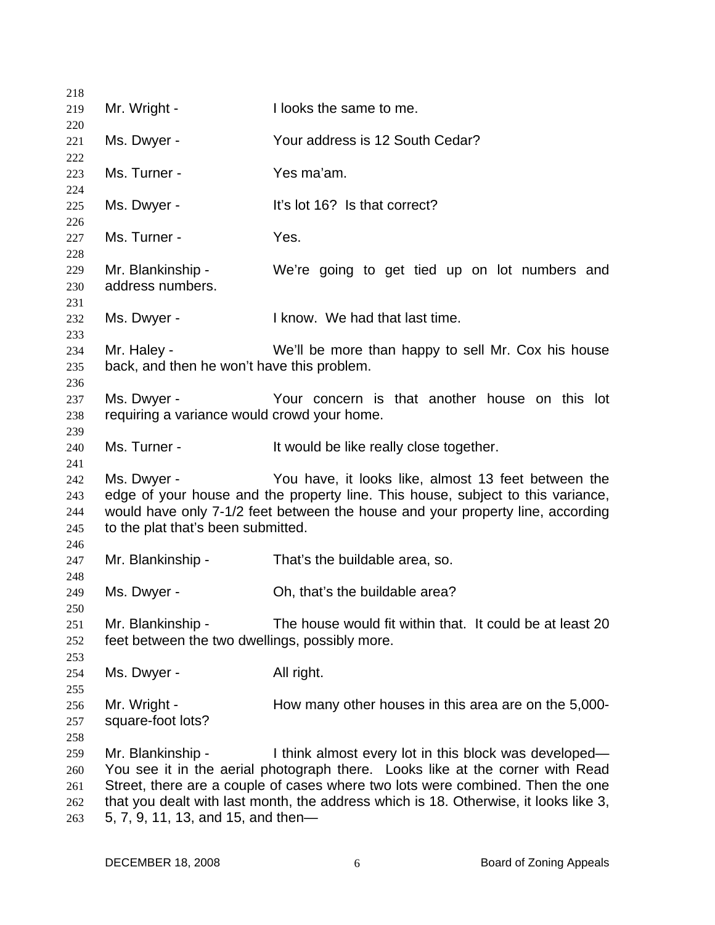| 218        |                                                                                      |                                                                                 |  |
|------------|--------------------------------------------------------------------------------------|---------------------------------------------------------------------------------|--|
| 219        | Mr. Wright -                                                                         | I looks the same to me.                                                         |  |
| 220        |                                                                                      |                                                                                 |  |
| 221        | Ms. Dwyer -                                                                          | Your address is 12 South Cedar?                                                 |  |
| 222        |                                                                                      |                                                                                 |  |
| 223        | Ms. Turner -                                                                         | Yes ma'am.                                                                      |  |
| 224        |                                                                                      | It's lot 16? Is that correct?                                                   |  |
| 225<br>226 | Ms. Dwyer -                                                                          |                                                                                 |  |
| 227        | Ms. Turner -                                                                         | Yes.                                                                            |  |
| 228        |                                                                                      |                                                                                 |  |
| 229        | Mr. Blankinship -                                                                    | We're going to get tied up on lot numbers and                                   |  |
| 230        | address numbers.                                                                     |                                                                                 |  |
| 231        |                                                                                      |                                                                                 |  |
| 232        | Ms. Dwyer -                                                                          | I know. We had that last time.                                                  |  |
| 233        |                                                                                      |                                                                                 |  |
| 234        | Mr. Haley -                                                                          | We'll be more than happy to sell Mr. Cox his house                              |  |
| 235        | back, and then he won't have this problem.                                           |                                                                                 |  |
| 236        |                                                                                      |                                                                                 |  |
| 237        | Ms. Dwyer -                                                                          | Your concern is that another house on this lot                                  |  |
| 238        | requiring a variance would crowd your home.                                          |                                                                                 |  |
| 239        |                                                                                      |                                                                                 |  |
| 240        | Ms. Turner -                                                                         | It would be like really close together.                                         |  |
| 241<br>242 | Ms. Dwyer -                                                                          | You have, it looks like, almost 13 feet between the                             |  |
| 243        |                                                                                      | edge of your house and the property line. This house, subject to this variance, |  |
| 244        |                                                                                      | would have only 7-1/2 feet between the house and your property line, according  |  |
| 245        | to the plat that's been submitted.                                                   |                                                                                 |  |
| 246        |                                                                                      |                                                                                 |  |
| 247        | Mr. Blankinship -                                                                    | That's the buildable area, so.                                                  |  |
| 248        |                                                                                      |                                                                                 |  |
| 249        | Ms. Dwyer -                                                                          | Oh, that's the buildable area?                                                  |  |
| 250        |                                                                                      |                                                                                 |  |
| 251        | Mr. Blankinship -                                                                    | The house would fit within that. It could be at least 20                        |  |
| 252        | feet between the two dwellings, possibly more.                                       |                                                                                 |  |
| 253        |                                                                                      |                                                                                 |  |
| 254        | Ms. Dwyer -                                                                          | All right.                                                                      |  |
| 255        |                                                                                      |                                                                                 |  |
| 256        | Mr. Wright -<br>square-foot lots?                                                    | How many other houses in this area are on the 5,000-                            |  |
| 257<br>258 |                                                                                      |                                                                                 |  |
| 259        | Mr. Blankinship -                                                                    | I think almost every lot in this block was developed—                           |  |
| 260        |                                                                                      | You see it in the aerial photograph there. Looks like at the corner with Read   |  |
| 261        |                                                                                      | Street, there are a couple of cases where two lots were combined. Then the one  |  |
| 262        | that you dealt with last month, the address which is 18. Otherwise, it looks like 3, |                                                                                 |  |
| 263        | 5, 7, 9, 11, 13, and 15, and then-                                                   |                                                                                 |  |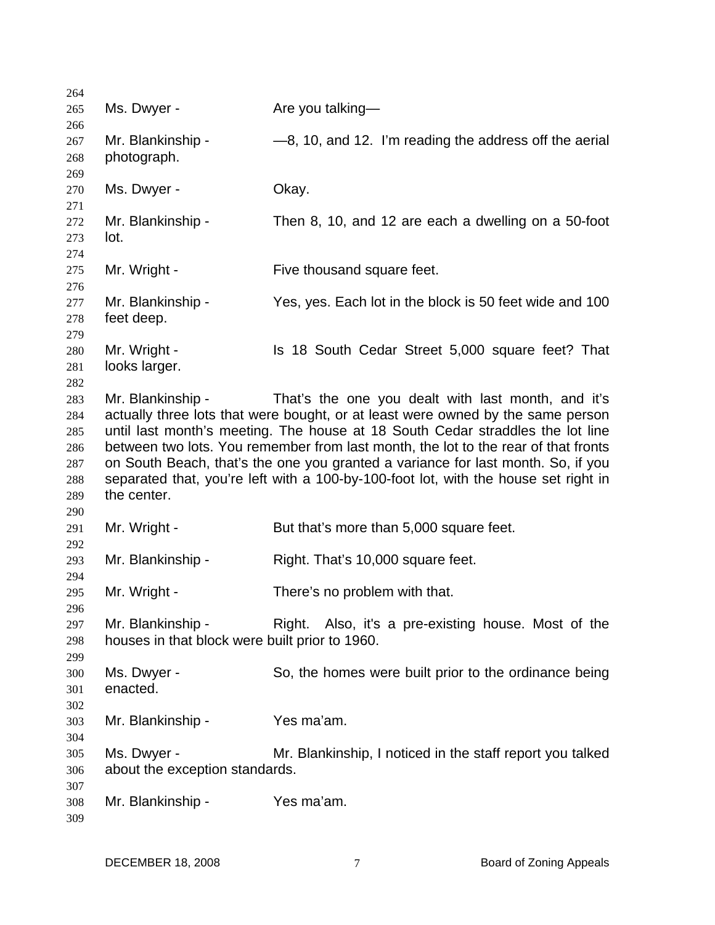Ms. Dwyer - The Are you talking— Mr. Blankinship  $-8$ , 10, and 12. I'm reading the address off the aerial photograph. Ms. Dwyer - Chay. Mr. Blankinship - Then 8, 10, and 12 are each a dwelling on a 50-foot lot. Mr. Wright - Five thousand square feet. Mr. Blankinship - Yes, yes. Each lot in the block is 50 feet wide and 100 feet deep. Mr. Wright - Is 18 South Cedar Street 5,000 square feet? That looks larger. Mr. Blankinship - That's the one you dealt with last month, and it's actually three lots that were bought, or at least were owned by the same person until last month's meeting. The house at 18 South Cedar straddles the lot line between two lots. You remember from last month, the lot to the rear of that fronts on South Beach, that's the one you granted a variance for last month. So, if you separated that, you're left with a 100-by-100-foot lot, with the house set right in the center. Mr. Wright - But that's more than 5,000 square feet. Mr. Blankinship - Right. That's 10,000 square feet. Mr. Wright - There's no problem with that. Mr. Blankinship - Right. Also, it's a pre-existing house. Most of the houses in that block were built prior to 1960. Ms. Dwyer - So, the homes were built prior to the ordinance being enacted. Mr. Blankinship - Yes ma'am. Ms. Dwyer - Mr. Blankinship, I noticed in the staff report you talked about the exception standards. Mr. Blankinship - Yes ma'am.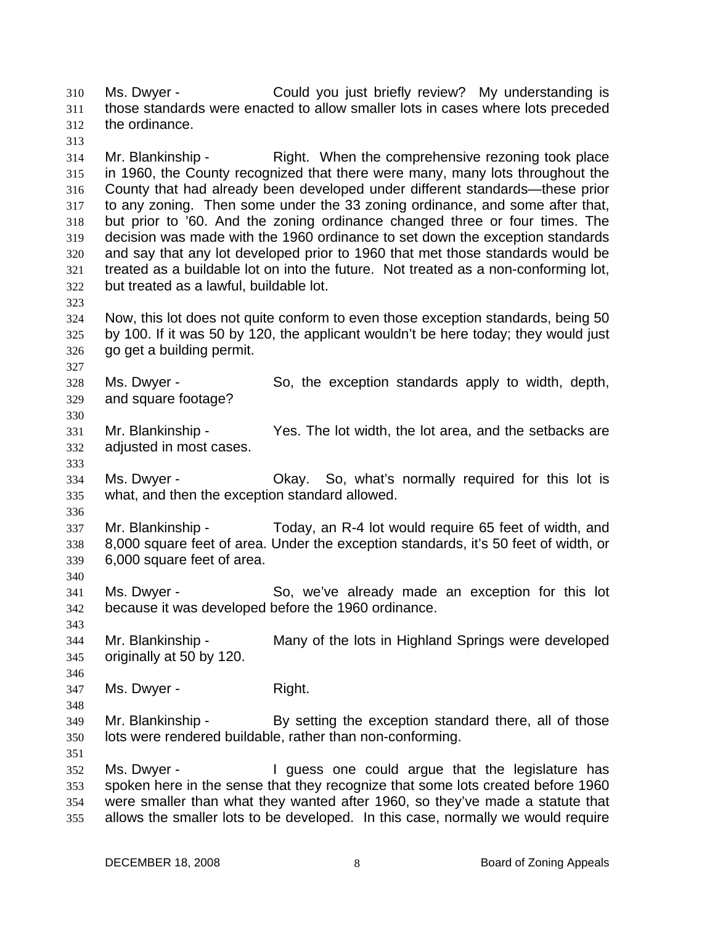Ms. Dwyer - Could you just briefly review? My understanding is those standards were enacted to allow smaller lots in cases where lots preceded the ordinance. 310 311 312

313

323

327

330

333

314 315 316 317 318 319 320 321 322 Mr. Blankinship - Right. When the comprehensive rezoning took place in 1960, the County recognized that there were many, many lots throughout the County that had already been developed under different standards—these prior to any zoning. Then some under the 33 zoning ordinance, and some after that, but prior to '60. And the zoning ordinance changed three or four times. The decision was made with the 1960 ordinance to set down the exception standards and say that any lot developed prior to 1960 that met those standards would be treated as a buildable lot on into the future. Not treated as a non-conforming lot, but treated as a lawful, buildable lot.

324 325 326 Now, this lot does not quite conform to even those exception standards, being 50 by 100. If it was 50 by 120, the applicant wouldn't be here today; they would just go get a building permit.

328 329 Ms. Dwyer - So, the exception standards apply to width, depth, and square footage?

331 332 Mr. Blankinship - Yes. The lot width, the lot area, and the setbacks are adjusted in most cases.

334 335 Ms. Dwyer - Chay. So, what's normally required for this lot is what, and then the exception standard allowed.

336

340

346

348

351

337 338 339 Mr. Blankinship - Today, an R-4 lot would require 65 feet of width, and 8,000 square feet of area. Under the exception standards, it's 50 feet of width, or 6,000 square feet of area.

341 342 Ms. Dwyer - So, we've already made an exception for this lot because it was developed before the 1960 ordinance.

343 344 345 Mr. Blankinship - Many of the lots in Highland Springs were developed originally at 50 by 120.

347 Ms. Dwyer - Right.

349 350 Mr. Blankinship - By setting the exception standard there, all of those lots were rendered buildable, rather than non-conforming.

352 353 354 355 Ms. Dwyer - I guess one could argue that the legislature has spoken here in the sense that they recognize that some lots created before 1960 were smaller than what they wanted after 1960, so they've made a statute that allows the smaller lots to be developed. In this case, normally we would require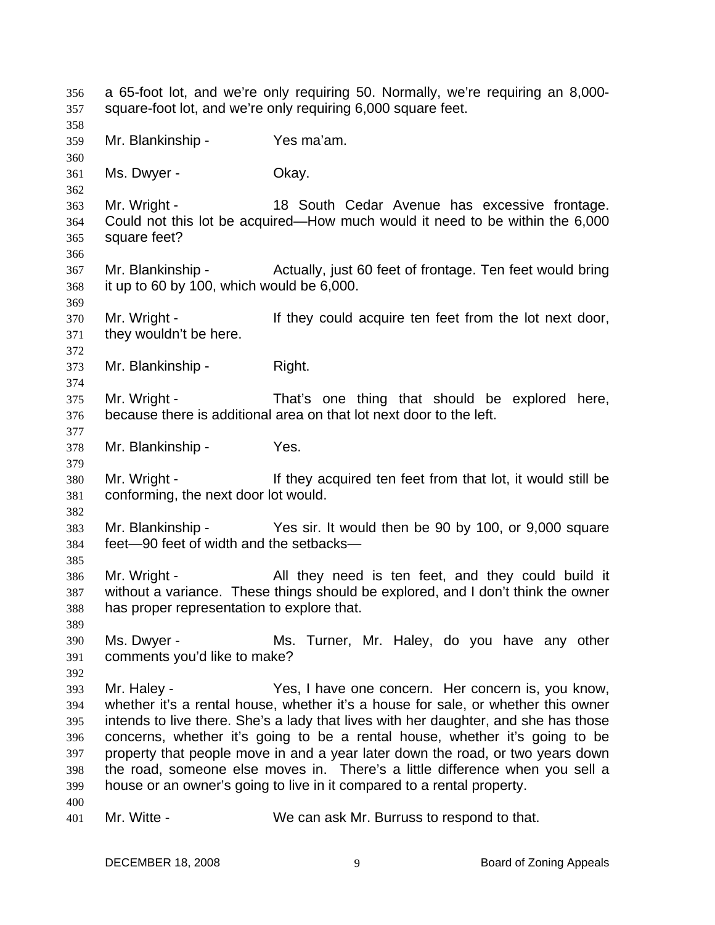a 65-foot lot, and we're only requiring 50. Normally, we're requiring an 8,000 square-foot lot, and we're only requiring 6,000 square feet. 356 357 358 359 360 361 362 363 364 365 366 367 368 369 370 371 372 373 374 375 376 377 378 379 380 381 382 383 384 385 386 387 388 389 390 391 392 393 394 395 396 397 398 399 400 401 Mr. Blankinship - Yes ma'am. Ms. Dwyer - Chay. Mr. Wright - 18 South Cedar Avenue has excessive frontage. Could not this lot be acquired—How much would it need to be within the 6,000 square feet? Mr. Blankinship - Actually, just 60 feet of frontage. Ten feet would bring it up to 60 by 100, which would be 6,000. Mr. Wright - They could acquire ten feet from the lot next door, they wouldn't be here. Mr. Blankinship - Right. Mr. Wright - That's one thing that should be explored here, because there is additional area on that lot next door to the left. Mr. Blankinship - Yes. Mr. Wright - If they acquired ten feet from that lot, it would still be conforming, the next door lot would. Mr. Blankinship - Yes sir. It would then be 90 by 100, or 9,000 square feet—90 feet of width and the setbacks— Mr. Wright - All they need is ten feet, and they could build it without a variance. These things should be explored, and I don't think the owner has proper representation to explore that. Ms. Dwyer - **Ms. Turner, Mr. Haley, do you have any other** comments you'd like to make? Mr. Haley - The Yes, I have one concern. Her concern is, you know, whether it's a rental house, whether it's a house for sale, or whether this owner intends to live there. She's a lady that lives with her daughter, and she has those concerns, whether it's going to be a rental house, whether it's going to be property that people move in and a year later down the road, or two years down the road, someone else moves in. There's a little difference when you sell a house or an owner's going to live in it compared to a rental property. Mr. Witte - We can ask Mr. Burruss to respond to that.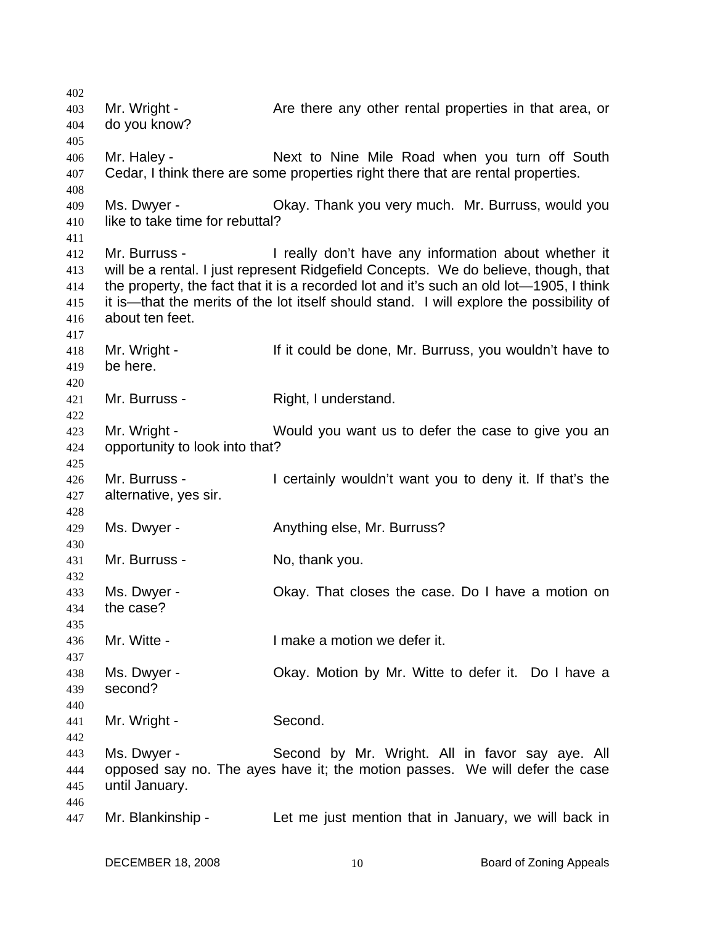402 403 404 405 406 407 408 409 410 411 412 413 414 415 416 417 418 419 420 421 422 423 424 425 426 427 428 429 430 431 432 433 434 435 436 437 438 439 440 441 442 443 444 445 446 447 Mr. Wright - The Are there any other rental properties in that area, or do you know? Mr. Haley - Next to Nine Mile Road when you turn off South Cedar, I think there are some properties right there that are rental properties. Ms. Dwyer - **CKAY. Thank you very much. Mr. Burruss, would you** like to take time for rebuttal? Mr. Burruss - I really don't have any information about whether it will be a rental. I just represent Ridgefield Concepts. We do believe, though, that the property, the fact that it is a recorded lot and it's such an old lot—1905, I think it is—that the merits of the lot itself should stand. I will explore the possibility of about ten feet. Mr. Wright - If it could be done, Mr. Burruss, you wouldn't have to be here. Mr. Burruss - Right, I understand. Mr. Wright - Would you want us to defer the case to give you an opportunity to look into that? Mr. Burruss - I certainly wouldn't want you to deny it. If that's the alternative, yes sir. Ms. Dwyer - **Anything else, Mr. Burruss?** Mr. Burruss - No, thank you. Ms. Dwyer - Okay. That closes the case. Do I have a motion on the case? Mr. Witte - The Music Company of the Imake a motion we defer it. Ms. Dwyer - Ckay. Motion by Mr. Witte to defer it. Do I have a second? Mr. Wright - Second. Ms. Dwyer - Second by Mr. Wright. All in favor say aye. All opposed say no. The ayes have it; the motion passes. We will defer the case until January. Mr. Blankinship - Let me just mention that in January, we will back in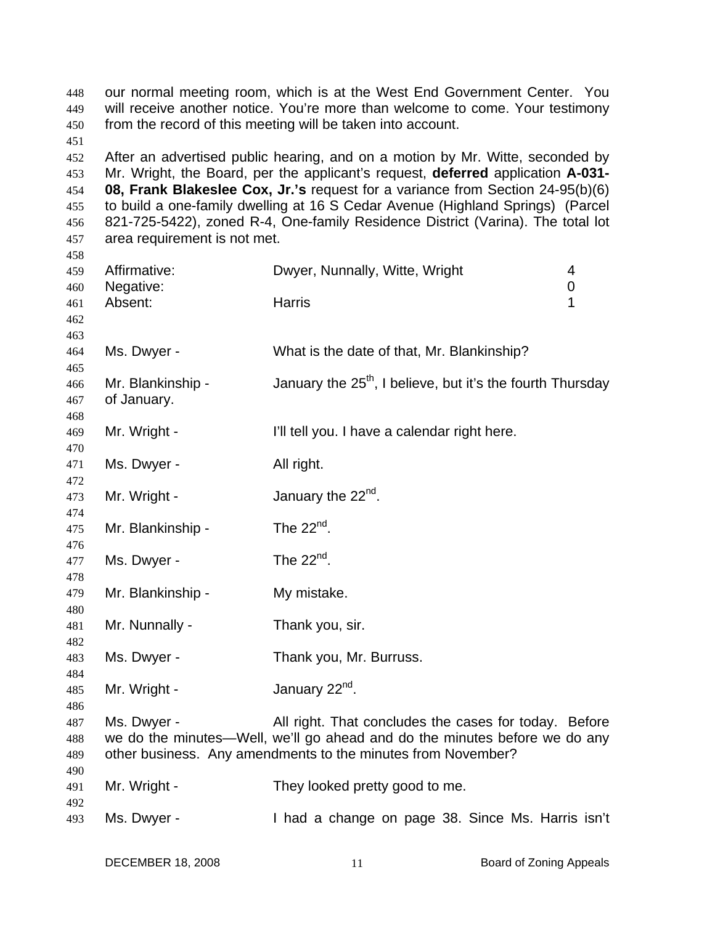our normal meeting room, which is at the West End Government Center. You will receive another notice. You're more than welcome to come. Your testimony from the record of this meeting will be taken into account. After an advertised public hearing, and on a motion by Mr. Witte, seconded by Mr. Wright, the Board, per the applicant's request, **deferred** application **A-031- 08, Frank Blakeslee Cox, Jr.'s** request for a variance from Section 24-95(b)(6) to build a one-family dwelling at 16 S Cedar Avenue (Highland Springs) (Parcel 821-725-5422), zoned R-4, One-family Residence District (Varina). The total lot area requirement is not met. Affirmative: Dwyer, Nunnally, Witte, Wright 4 Negative: 0 Absent: Harris 1 Ms. Dwyer - What is the date of that, Mr. Blankinship? Mr. Blankinship - January the  $25<sup>th</sup>$ , I believe, but it's the fourth Thursday of January. Mr. Wright - I'll tell you. I have a calendar right here. Ms. Dwyer - All right. Mr. Wright -  $\mu$  January the  $22^{nd}$ . Mr. Blankinship - The  $22<sup>nd</sup>$ . Ms. Dwyer - The  $22<sup>nd</sup>$ . Mr. Blankinship - My mistake. Mr. Nunnally - Thank you, sir. Ms. Dwyer - Thank you, Mr. Burruss. Mr. Wright -  $\mu$  January 22<sup>nd</sup>. Ms. Dwyer - All right. That concludes the cases for today. Before we do the minutes—Well, we'll go ahead and do the minutes before we do any other business. Any amendments to the minutes from November? Mr. Wright - They looked pretty good to me. Ms. Dwyer - Thad a change on page 38. Since Ms. Harris isn't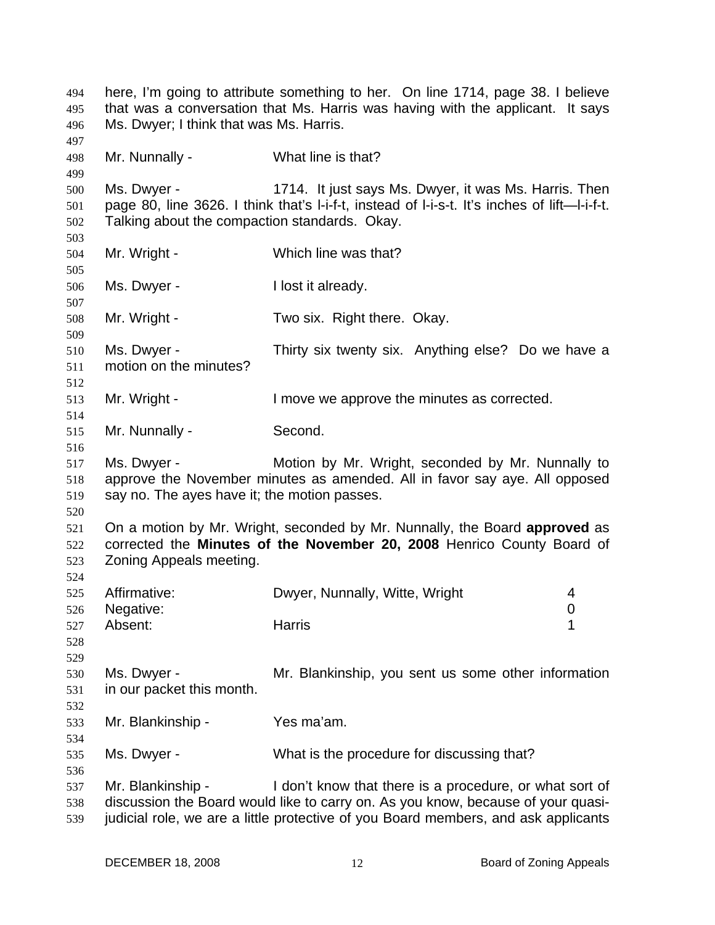here, I'm going to attribute something to her. On line 1714, page 38. I believe that was a conversation that Ms. Harris was having with the applicant. It says Ms. Dwyer; I think that was Ms. Harris. 494 495 496 497 498 499 500 501 502 503 504 505 506 507 508 509 510 511 512 513 514 515 516 517 518 519 520 521 522 523 524 525 526 527 528 529 530 531 532 533 534 535 536 537 538 539 Mr. Nunnally - What line is that? Ms. Dwyer - 1714. It just says Ms. Dwyer, it was Ms. Harris. Then page 80, line 3626. I think that's l-i-f-t, instead of l-i-s-t. It's inches of lift—l-i-f-t. Talking about the compaction standards. Okay. Mr. Wright - Which line was that? Ms. Dwyer - I lost it already. Mr. Wright - Two six. Right there. Okay. Ms. Dwyer - Thirty six twenty six. Anything else? Do we have a motion on the minutes? Mr. Wright - I move we approve the minutes as corrected. Mr. Nunnally - Second. Ms. Dwyer - **Motion by Mr. Wright, seconded by Mr. Nunnally to** approve the November minutes as amended. All in favor say aye. All opposed say no. The ayes have it; the motion passes. On a motion by Mr. Wright, seconded by Mr. Nunnally, the Board **approved** as corrected the **Minutes of the November 20, 2008** Henrico County Board of Zoning Appeals meeting. Affirmative: Dwyer, Nunnally, Witte, Wright 4 Negative: 0 Absent: Harris 1 Ms. Dwyer - **Mr. Blankinship, you sent us some other information** in our packet this month. Mr. Blankinship - Yes ma'am. Ms. Dwyer - What is the procedure for discussing that? Mr. Blankinship - I don't know that there is a procedure, or what sort of discussion the Board would like to carry on. As you know, because of your quasijudicial role, we are a little protective of you Board members, and ask applicants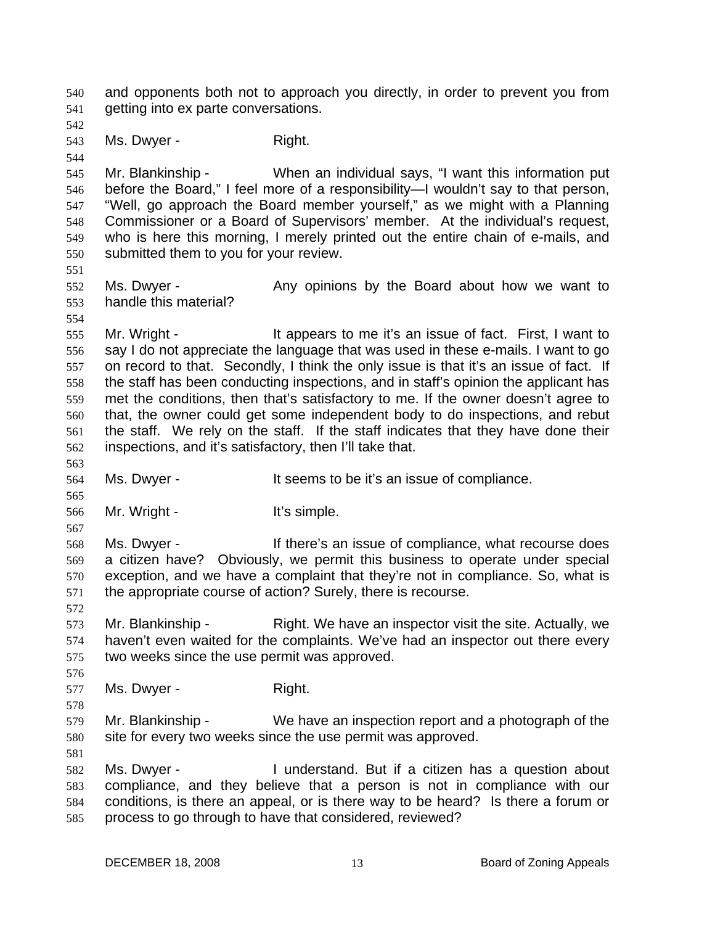and opponents both not to approach you directly, in order to prevent you from getting into ex parte conversations. 540 541 542 543 544 545 546 547 548 549 550 551 552 553 554 555 556 557 558 559 560 561 562 563 564 565 566 567 568 569 570 571 572 573 574 575 576 577 578 579 580 581 582 583 584 585 Ms. Dwyer - Right. Mr. Blankinship - When an individual says, "I want this information put before the Board," I feel more of a responsibility—I wouldn't say to that person, "Well, go approach the Board member yourself," as we might with a Planning Commissioner or a Board of Supervisors' member. At the individual's request, who is here this morning, I merely printed out the entire chain of e-mails, and submitted them to you for your review. Ms. Dwyer - The Any opinions by the Board about how we want to handle this material? Mr. Wright - It appears to me it's an issue of fact. First, I want to say I do not appreciate the language that was used in these e-mails. I want to go on record to that. Secondly, I think the only issue is that it's an issue of fact. If the staff has been conducting inspections, and in staff's opinion the applicant has met the conditions, then that's satisfactory to me. If the owner doesn't agree to that, the owner could get some independent body to do inspections, and rebut the staff. We rely on the staff. If the staff indicates that they have done their inspections, and it's satisfactory, then I'll take that. Ms. Dwyer - It seems to be it's an issue of compliance. Mr. Wright - The Muslim Mr. Wright - The Muslim Muslim Muslim Muslim Muslim Muslim Muslim Muslim Muslim Muslim Muslim Muslim Muslim Muslim Muslim Muslim Muslim Muslim Muslim Muslim Muslim Muslim Muslim Muslim Muslim Muslim Ms. Dwyer - There's an issue of compliance, what recourse does a citizen have? Obviously, we permit this business to operate under special exception, and we have a complaint that they're not in compliance. So, what is the appropriate course of action? Surely, there is recourse. Mr. Blankinship - Right. We have an inspector visit the site. Actually, we haven't even waited for the complaints. We've had an inspector out there every two weeks since the use permit was approved. Ms. Dwyer - Right. Mr. Blankinship - We have an inspection report and a photograph of the site for every two weeks since the use permit was approved. Ms. Dwyer - I understand. But if a citizen has a question about compliance, and they believe that a person is not in compliance with our conditions, is there an appeal, or is there way to be heard? Is there a forum or process to go through to have that considered, reviewed?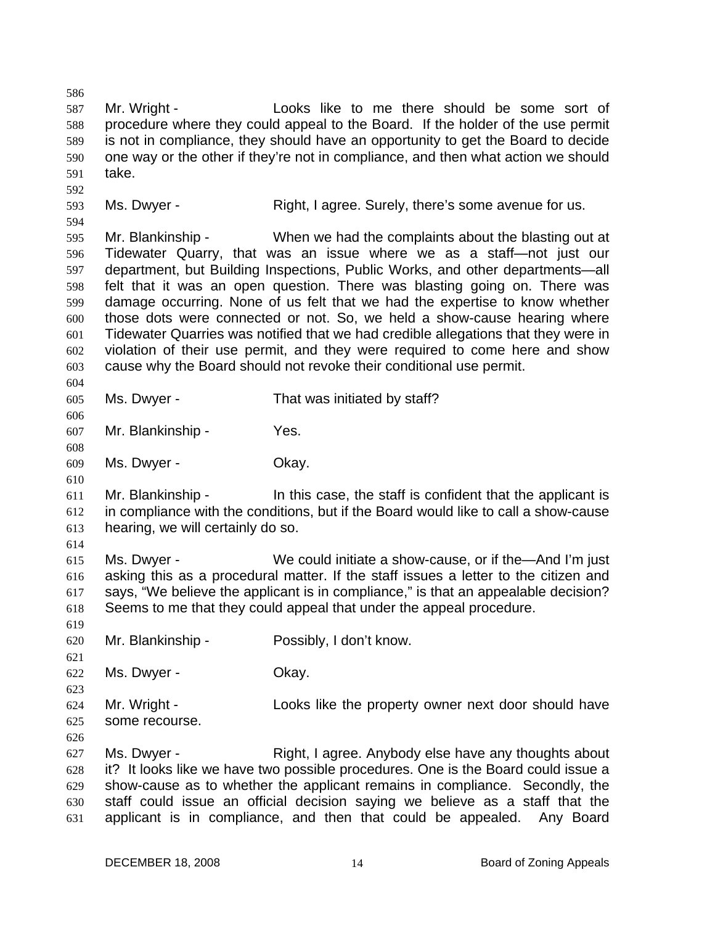586 587 588 589 590 591 592 593 594 595 596 597 598 599 600 601 602 603 604 605 606 607 608 609 610 611 612 613 614 615 616 617 618 619 620 621 622 623 624 625 626 627 628 629 630 631 Mr. Wright - The Looks like to me there should be some sort of procedure where they could appeal to the Board. If the holder of the use permit is not in compliance, they should have an opportunity to get the Board to decide one way or the other if they're not in compliance, and then what action we should take. Ms. Dwyer - Right, I agree. Surely, there's some avenue for us. Mr. Blankinship - When we had the complaints about the blasting out at Tidewater Quarry, that was an issue where we as a staff—not just our department, but Building Inspections, Public Works, and other departments—all felt that it was an open question. There was blasting going on. There was damage occurring. None of us felt that we had the expertise to know whether those dots were connected or not. So, we held a show-cause hearing where Tidewater Quarries was notified that we had credible allegations that they were in violation of their use permit, and they were required to come here and show cause why the Board should not revoke their conditional use permit. Ms. Dwyer - That was initiated by staff? Mr. Blankinship - Yes. Ms. Dwyer - Chay. Mr. Blankinship - In this case, the staff is confident that the applicant is in compliance with the conditions, but if the Board would like to call a show-cause hearing, we will certainly do so. Ms. Dwyer - We could initiate a show-cause, or if the—And I'm just asking this as a procedural matter. If the staff issues a letter to the citizen and says, "We believe the applicant is in compliance," is that an appealable decision? Seems to me that they could appeal that under the appeal procedure. Mr. Blankinship - Possibly, I don't know. Ms. Dwyer - Chay. Mr. Wright - Looks like the property owner next door should have some recourse. Ms. Dwyer - The Right, I agree. Anybody else have any thoughts about it? It looks like we have two possible procedures. One is the Board could issue a show-cause as to whether the applicant remains in compliance. Secondly, the staff could issue an official decision saying we believe as a staff that the applicant is in compliance, and then that could be appealed. Any Board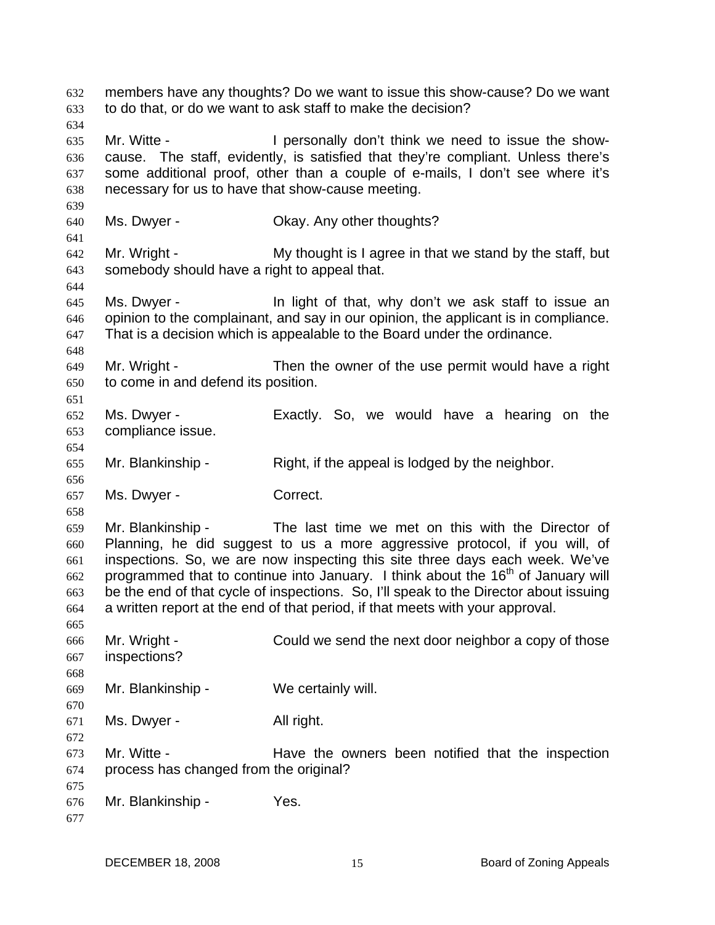members have any thoughts? Do we want to issue this show-cause? Do we want to do that, or do we want to ask staff to make the decision? 632 633 634 635 636 637 638 639 640 641 642 643 644 645 646 647 648 649 650 651 652 653 654 655 656 657 658 659 660 661 662 663 664 665 666 667 668 669 670 671 672 673 674 675 676 677 Mr. Witte - The Personally don't think we need to issue the showcause. The staff, evidently, is satisfied that they're compliant. Unless there's some additional proof, other than a couple of e-mails, I don't see where it's necessary for us to have that show-cause meeting. Ms. Dwyer - Chay. Any other thoughts? Mr. Wright - My thought is I agree in that we stand by the staff, but somebody should have a right to appeal that. Ms. Dwyer - In light of that, why don't we ask staff to issue an opinion to the complainant, and say in our opinion, the applicant is in compliance. That is a decision which is appealable to the Board under the ordinance. Mr. Wright - Then the owner of the use permit would have a right to come in and defend its position. Ms. Dwyer - Exactly. So, we would have a hearing on the compliance issue. Mr. Blankinship - Right, if the appeal is lodged by the neighbor. Ms. Dwyer - Correct. Mr. Blankinship - The last time we met on this with the Director of Planning, he did suggest to us a more aggressive protocol, if you will, of inspections. So, we are now inspecting this site three days each week. We've programmed that to continue into January. I think about the  $16<sup>th</sup>$  of January will be the end of that cycle of inspections. So, I'll speak to the Director about issuing a written report at the end of that period, if that meets with your approval. Mr. Wright - Could we send the next door neighbor a copy of those inspections? Mr. Blankinship - We certainly will. Ms. Dwyer - All right. Mr. Witte - The Have the owners been notified that the inspection process has changed from the original? Mr. Blankinship - Yes.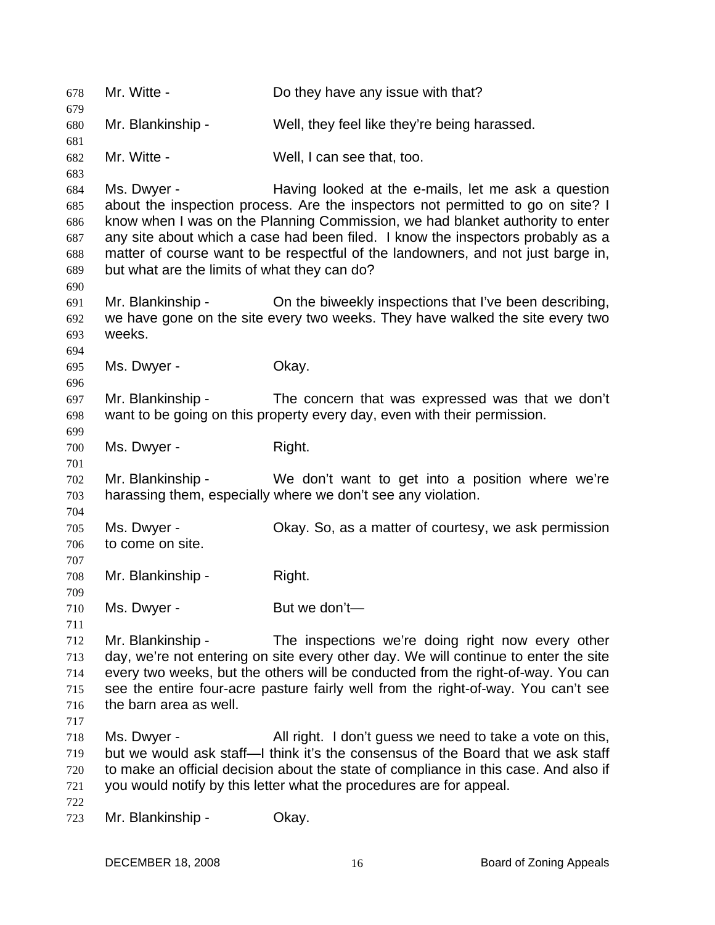678 Mr. Witte - Do they have any issue with that? 679 680 681 682 683 684 685 686 687 688 689 690 691 692 693 694 695 696 697 698 699 700 701 702 703 704 705 706 707 708 709 710 711 712 713 714 715 716 717 718 719 720 721 722 723 Mr. Blankinship - Well, they feel like they're being harassed. Mr. Witte - Well, I can see that, too. Ms. Dwyer - Having looked at the e-mails, let me ask a question about the inspection process. Are the inspectors not permitted to go on site? I know when I was on the Planning Commission, we had blanket authority to enter any site about which a case had been filed. I know the inspectors probably as a matter of course want to be respectful of the landowners, and not just barge in, but what are the limits of what they can do? Mr. Blankinship - On the biweekly inspections that I've been describing, we have gone on the site every two weeks. They have walked the site every two weeks. Ms. Dwyer - Chay. Mr. Blankinship - The concern that was expressed was that we don't want to be going on this property every day, even with their permission. Ms. Dwyer - Right. Mr. Blankinship - We don't want to get into a position where we're harassing them, especially where we don't see any violation. Ms. Dwyer - Okay. So, as a matter of courtesy, we ask permission to come on site. Mr. Blankinship - Right. Ms. Dwyer - But we don't— Mr. Blankinship - The inspections we're doing right now every other day, we're not entering on site every other day. We will continue to enter the site every two weeks, but the others will be conducted from the right-of-way. You can see the entire four-acre pasture fairly well from the right-of-way. You can't see the barn area as well. Ms. Dwyer - All right. I don't guess we need to take a vote on this, but we would ask staff—I think it's the consensus of the Board that we ask staff to make an official decision about the state of compliance in this case. And also if you would notify by this letter what the procedures are for appeal. Mr. Blankinship - Okay.